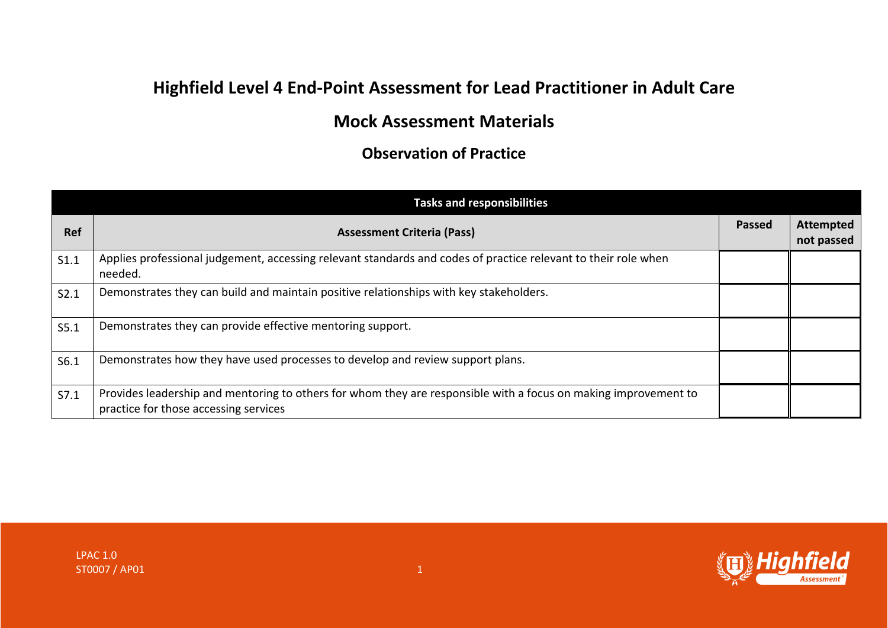## **Highfield Level 4 End-Point Assessment for Lead Practitioner in Adult Care**

## **Mock Assessment Materials**

**Observation of Practice**

|            | <b>Tasks and responsibilities</b>                                                                                                                        |               |                                |
|------------|----------------------------------------------------------------------------------------------------------------------------------------------------------|---------------|--------------------------------|
| <b>Ref</b> | <b>Assessment Criteria (Pass)</b>                                                                                                                        | <b>Passed</b> | <b>Attempted</b><br>not passed |
| S1.1       | Applies professional judgement, accessing relevant standards and codes of practice relevant to their role when<br>needed.                                |               |                                |
| S2.1       | Demonstrates they can build and maintain positive relationships with key stakeholders.                                                                   |               |                                |
| S5.1       | Demonstrates they can provide effective mentoring support.                                                                                               |               |                                |
| S6.1       | Demonstrates how they have used processes to develop and review support plans.                                                                           |               |                                |
| S7.1       | Provides leadership and mentoring to others for whom they are responsible with a focus on making improvement to<br>practice for those accessing services |               |                                |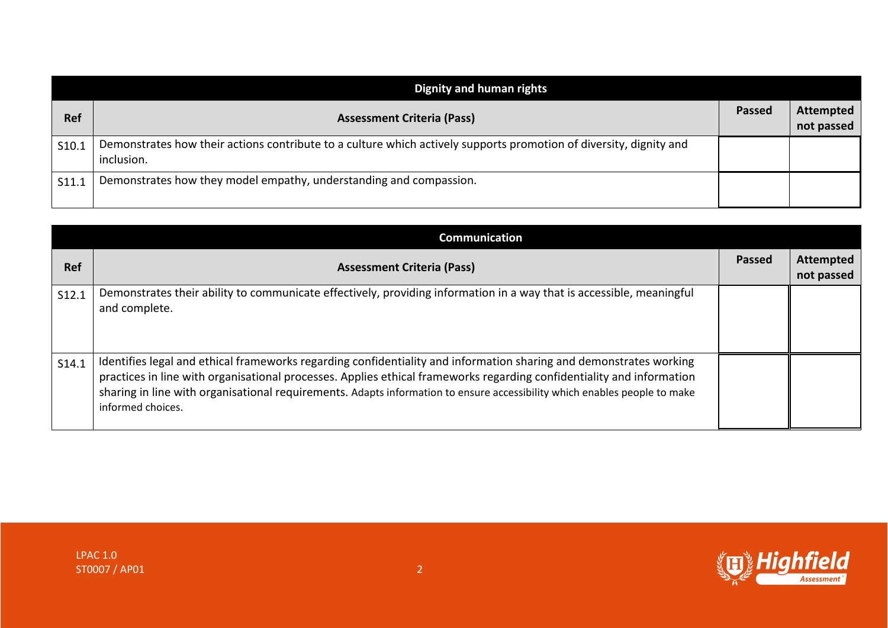| <b>Dignity and human rights</b> |                                                                                                                                  |               |                                |
|---------------------------------|----------------------------------------------------------------------------------------------------------------------------------|---------------|--------------------------------|
| <b>Ref</b>                      | <b>Assessment Criteria (Pass)</b>                                                                                                | <b>Passed</b> | <b>Attempted</b><br>not passed |
| S10.1                           | Demonstrates how their actions contribute to a culture which actively supports promotion of diversity, dignity and<br>inclusion. |               |                                |
| S11.1                           | Demonstrates how they model empathy, understanding and compassion.                                                               |               |                                |

|            | Communication                                                                                                                                                                                                                                                                                                                                                                                 |               |                                |
|------------|-----------------------------------------------------------------------------------------------------------------------------------------------------------------------------------------------------------------------------------------------------------------------------------------------------------------------------------------------------------------------------------------------|---------------|--------------------------------|
| <b>Ref</b> | <b>Assessment Criteria (Pass)</b>                                                                                                                                                                                                                                                                                                                                                             | <b>Passed</b> | <b>Attempted</b><br>not passed |
| S12.1      | Demonstrates their ability to communicate effectively, providing information in a way that is accessible, meaningful<br>and complete.                                                                                                                                                                                                                                                         |               |                                |
| S14.1      | Identifies legal and ethical frameworks regarding confidentiality and information sharing and demonstrates working<br>practices in line with organisational processes. Applies ethical frameworks regarding confidentiality and information<br>sharing in line with organisational requirements. Adapts information to ensure accessibility which enables people to make<br>informed choices. |               |                                |